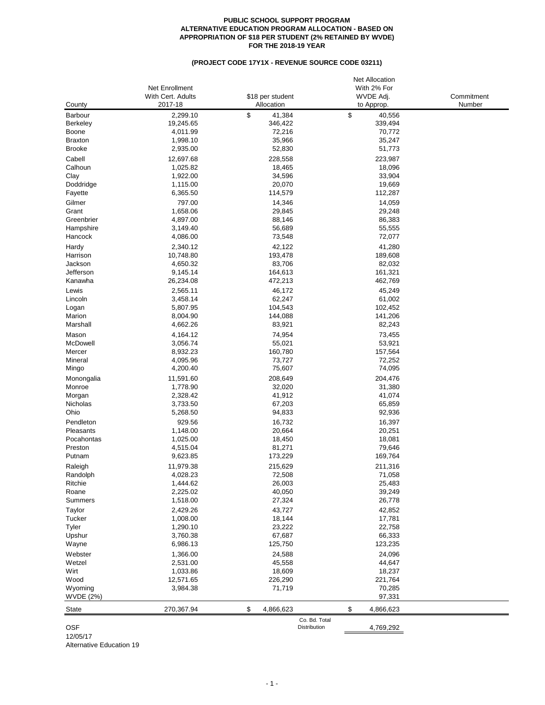## **PUBLIC SCHOOL SUPPORT PROGRAM ALTERNATIVE EDUCATION PROGRAM ALLOCATION - BASED ON APPROPRIATION OF \$18 PER STUDENT (2% RETAINED BY WVDE) FOR THE 2018-19 YEAR**

## **(PROJECT CODE 17Y1X - REVENUE SOURCE CODE 03211)**

|                  |                   |                  | <b>Net Allocation</b> |            |
|------------------|-------------------|------------------|-----------------------|------------|
|                  | Net Enrollment    |                  | With 2% For           |            |
|                  | With Cert. Adults | \$18 per student | WVDE Adj.             | Commitment |
| County           | 2017-18           | Allocation       | to Approp.            | Number     |
| Barbour          | 2,299.10          | \$<br>41,384     | \$<br>40,556          |            |
| <b>Berkeley</b>  | 19,245.65         | 346,422          | 339,494               |            |
| Boone            | 4,011.99          | 72,216           | 70,772                |            |
| <b>Braxton</b>   | 1,998.10          | 35,966           | 35,247                |            |
| <b>Brooke</b>    | 2,935.00          | 52,830           | 51,773                |            |
| Cabell           | 12,697.68         | 228,558          | 223,987               |            |
| Calhoun          | 1,025.82          | 18,465           | 18,096                |            |
| Clay             | 1,922.00          | 34,596           | 33,904                |            |
| Doddridge        | 1,115.00          | 20,070           | 19,669                |            |
| Fayette          | 6,365.50          | 114,579          | 112,287               |            |
| Gilmer           | 797.00            |                  | 14,059                |            |
|                  |                   | 14,346           |                       |            |
| Grant            | 1,658.06          | 29,845           | 29,248                |            |
| Greenbrier       | 4,897.00          | 88,146           | 86,383                |            |
| Hampshire        | 3,149.40          | 56,689           | 55,555                |            |
| Hancock          | 4,086.00          | 73,548           | 72,077                |            |
| Hardy            | 2,340.12          | 42,122           | 41,280                |            |
| Harrison         | 10,748.80         | 193,478          | 189,608               |            |
| Jackson          | 4,650.32          | 83,706           | 82,032                |            |
| Jefferson        | 9,145.14          | 164,613          | 161,321               |            |
| Kanawha          | 26,234.08         | 472,213          | 462,769               |            |
| Lewis            | 2,565.11          | 46,172           | 45,249                |            |
| Lincoln          | 3,458.14          | 62,247           | 61,002                |            |
| Logan            | 5,807.95          | 104,543          | 102,452               |            |
| Marion           | 8,004.90          | 144,088          | 141,206               |            |
| Marshall         | 4,662.26          | 83,921           | 82,243                |            |
| Mason            | 4,164.12          | 74,954           | 73,455                |            |
| McDowell         | 3,056.74          | 55,021           | 53,921                |            |
| Mercer           | 8,932.23          | 160,780          | 157,564               |            |
| Mineral          | 4,095.96          | 73,727           | 72,252                |            |
| Mingo            | 4,200.40          | 75,607           | 74,095                |            |
|                  |                   |                  |                       |            |
| Monongalia       | 11,591.60         | 208,649          | 204,476               |            |
| Monroe           | 1,778.90          | 32,020           | 31,380                |            |
| Morgan           | 2,328.42          | 41,912           | 41,074                |            |
| Nicholas         | 3,733.50          | 67,203           | 65,859                |            |
| Ohio             | 5,268.50          | 94,833           | 92,936                |            |
| Pendleton        | 929.56            | 16,732           | 16,397                |            |
| Pleasants        | 1,148.00          | 20,664           | 20,251                |            |
| Pocahontas       | 1,025.00          | 18,450           | 18,081                |            |
| Preston          | 4,515.04          | 81,271           | 79,646                |            |
| Putnam           | 9,623.85          | 173,229          | 169,764               |            |
| Raleigh          | 11,979.38         | 215,629          | 211,316               |            |
| Randolph         | 4,028.23          | 72,508           | 71,058                |            |
| Ritchie          | 1,444.62          | 26,003           | 25,483                |            |
| Roane            | 2,225.02          | 40,050           | 39,249                |            |
| Summers          | 1,518.00          | 27,324           | 26,778                |            |
| Taylor           | 2,429.26          | 43,727           | 42,852                |            |
| Tucker           | 1,008.00          | 18,144           | 17,781                |            |
| Tyler            | 1,290.10          | 23,222           | 22,758                |            |
| Upshur           | 3,760.38          | 67,687           | 66,333                |            |
|                  |                   | 125,750          |                       |            |
| Wayne            | 6,986.13          |                  | 123,235               |            |
| Webster          | 1,366.00          | 24,588           | 24,096                |            |
| Wetzel           | 2,531.00          | 45,558           | 44,647                |            |
| Wirt             | 1,033.86          | 18,609           | 18,237                |            |
| Wood             | 12,571.65         | 226,290          | 221,764               |            |
| Wyoming          | 3,984.38          | 71,719           | 70,285                |            |
| <b>WVDE (2%)</b> |                   |                  | 97,331                |            |
| <b>State</b>     | 270,367.94        | \$<br>4,866,623  | \$<br>4,866,623       |            |
|                  |                   | Co. Bd. Total    |                       |            |
| <b>OSF</b>       |                   | Distribution     | 4,769,292             |            |

OSF 12/05/17

Alternative Education 19